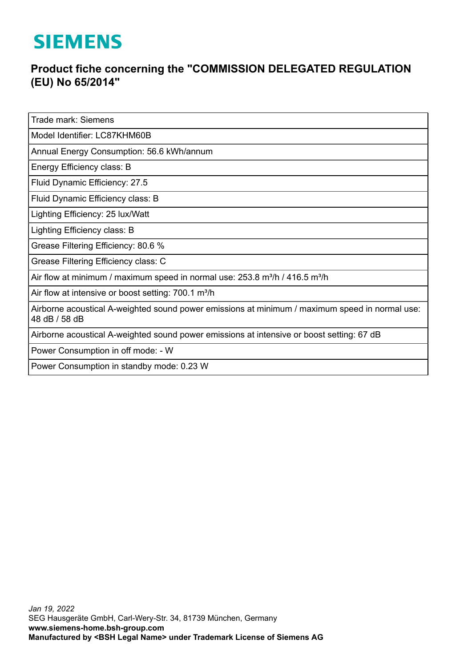## **SIEMENS**

## **Product fiche concerning the "COMMISSION DELEGATED REGULATION (EU) No 65/2014"**

Trade mark: Siemens

Model Identifier: LC87KHM60B

Annual Energy Consumption: 56.6 kWh/annum

Energy Efficiency class: B

Fluid Dynamic Efficiency: 27.5

Fluid Dynamic Efficiency class: B

Lighting Efficiency: 25 lux/Watt

Lighting Efficiency class: B

Grease Filtering Efficiency: 80.6 %

Grease Filtering Efficiency class: C

Air flow at minimum / maximum speed in normal use:  $253.8$  m<sup>3</sup>/h / 416.5 m<sup>3</sup>/h

Air flow at intensive or boost setting: 700.1 m<sup>3</sup>/h

Airborne acoustical A-weighted sound power emissions at minimum / maximum speed in normal use: 48 dB / 58 dB

Airborne acoustical A-weighted sound power emissions at intensive or boost setting: 67 dB

Power Consumption in off mode: - W

Power Consumption in standby mode: 0.23 W